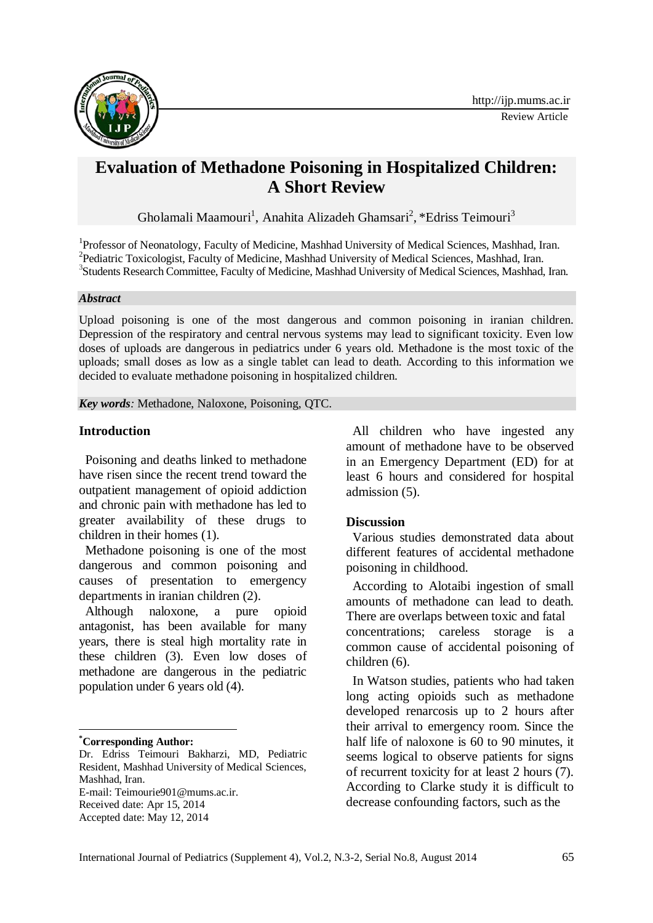

# **Evaluation of Methadone Poisoning in Hospitalized Children: A Short Review**

Gholamali Maamouri<sup>1</sup>, Anahita Alizadeh Ghamsari<sup>2</sup>, \*Edriss Teimouri<sup>3</sup>

<sup>1</sup>Professor of Neonatology, Faculty of Medicine, Mashhad University of Medical Sciences, Mashhad, Iran. <sup>2</sup>Pediatric Toxicologist, Faculty of Medicine, Mashhad University of Medical Sciences, Mashhad, Iran. <sup>3</sup>Students Research Committee, Faculty of Medicine, Mashhad University of Medical Sciences, Mashhad, Iran.

#### *Abstract*

Upload poisoning is one of the most dangerous and common poisoning in iranian children. Depression of the respiratory and central nervous systems may lead to significant toxicity. Even low doses of uploads are dangerous in pediatrics under 6 years old. Methadone is the most toxic of the uploads; small doses as low as a single tablet can lead to death. According to this information we decided to evaluate methadone poisoning in hospitalized children.

*Key words:* Methadone, Naloxone, Poisoning, QTC.

## **Introduction**

Poisoning and deaths linked to methadone have risen since the recent trend toward the outpatient management of opioid addiction and chronic pain with methadone has led to greater availability of these drugs to children in their homes (1).

Methadone poisoning is one of the most dangerous and common poisoning and causes of presentation to emergency departments in iranian children (2).

Although naloxone, a pure opioid antagonist, has been available for many years, there is steal high mortality rate in these children (3). Even low doses of methadone are dangerous in the pediatric population under 6 years old (4).

**\*Corresponding Author:**

1

Received date: Apr 15, 2014

All children who have ingested any amount of methadone have to be observed in an Emergency Department (ED) for at least 6 hours and considered for hospital admission (5).

## **Discussion**

Various studies demonstrated data about different features of accidental methadone poisoning in childhood.

According to Alotaibi ingestion of small amounts of methadone can lead to death. There are overlaps between toxic and fatal concentrations; careless storage is a common cause of accidental poisoning of children (6).

In Watson studies, patients who had taken long acting opioids such as methadone developed renarcosis up to 2 hours after their arrival to emergency room. Since the half life of naloxone is 60 to 90 minutes, it seems logical to observe patients for signs of recurrent toxicity for at least 2 hours (7). According to Clarke study it is difficult to decrease confounding factors, such as the

Dr. Edriss Teimouri Bakharzi, MD, Pediatric Resident, Mashhad University of Medical Sciences, Mashhad, Iran. E-mail: Teimourie901@mums.ac.ir.

Accepted date: May 12, 2014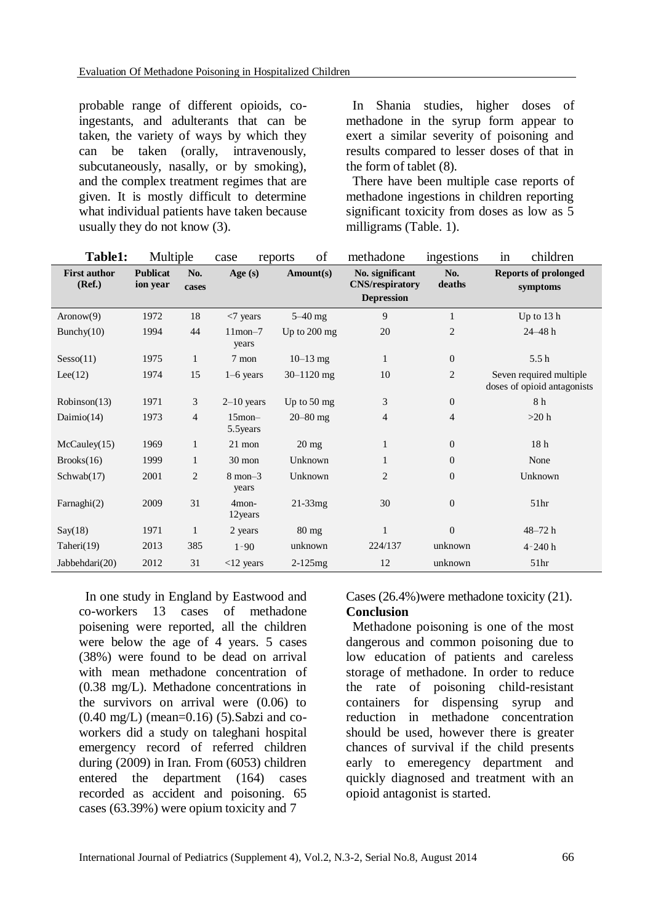probable range of different opioids, coingestants, and adulterants that can be taken, the variety of ways by which they can be taken (orally, intravenously, subcutaneously, nasally, or by smoking), and the complex treatment regimes that are given. It is mostly difficult to determine what individual patients have taken because usually they do not know (3).

In Shania studies, higher doses of methadone in the syrup form appear to exert a similar severity of poisoning and results compared to lesser doses of that in the form of tablet (8).

There have been multiple case reports of methadone ingestions in children reporting significant toxicity from doses as low as  $\overline{5}$ milligrams (Table. 1).

| Table1:                       | Multiple                    |                | case                      | of<br>reports         | methadone                                                      | ingestions       | in<br>children                                         |
|-------------------------------|-----------------------------|----------------|---------------------------|-----------------------|----------------------------------------------------------------|------------------|--------------------------------------------------------|
| <b>First author</b><br>(Ref.) | <b>Publicat</b><br>ion year | No.<br>cases   | Age $(s)$                 | Amount(s)             | No. significant<br><b>CNS/respiratory</b><br><b>Depression</b> | No.<br>deaths    | <b>Reports of prolonged</b><br>symptoms                |
| Aronow(9)                     | 1972                        | 18             | $<$ 7 years               | $5-40$ mg             | 9                                                              | $\mathbf{1}$     | Up to 13 h                                             |
| Bunchy $(10)$                 | 1994                        | 44             | $11$ mon $-7$<br>years    | Up to 200 mg          | 20                                                             | $\overline{c}$   | $24 - 48 h$                                            |
| Sesso(11)                     | 1975                        | $\mathbf{1}$   | 7 mon                     | $10 - 13$ mg          | $\mathbf{1}$                                                   | $\mathbf{0}$     | 5.5h                                                   |
| Lee(12)                       | 1974                        | 15             | $1-6$ years               | $30 - 1120$ mg        | 10                                                             | $\overline{c}$   | Seven required multiple<br>doses of opioid antagonists |
| Robinson(13)                  | 1971                        | 3              | $2-10$ years              | Up to $50 \text{ mg}$ | 3                                                              | $\mathbf{0}$     | 8 h                                                    |
| Daimio $(14)$                 | 1973                        | $\overline{4}$ | $15$ mon $-$<br>5.5 years | $20 - 80$ mg          | 4                                                              | 4                | >20 h                                                  |
| McCauley(15)                  | 1969                        | $\mathbf{1}$   | $21$ mon                  | $20$ mg               | $\mathbf{1}$                                                   | $\overline{0}$   | 18 <sub>h</sub>                                        |
| Brooks(16)                    | 1999                        | $\mathbf{1}$   | 30 mon                    | Unknown               | 1                                                              | $\theta$         | None                                                   |
| Schwab(17)                    | 2001                        | 2              | $8$ mon $-3$<br>years     | Unknown               | $\overline{2}$                                                 | $\overline{0}$   | Unknown                                                |
| Farnaghi $(2)$                | 2009                        | 31             | $4$ mon-<br>12years       | $21-33mg$             | 30                                                             | $\boldsymbol{0}$ | 51 <sub>hr</sub>                                       |
| Say(18)                       | 1971                        | 1              | 2 years                   | $80 \text{ mg}$       | $\mathbf{1}$                                                   | $\boldsymbol{0}$ | $48 - 72h$                                             |
| Taheri(19)                    | 2013                        | 385            | $1 - 90$                  | unknown               | 224/137                                                        | unknown          | $4 - 240 h$                                            |
| Jabbehdari(20)                | 2012                        | 31             | $<$ 12 years              | $2-125mg$             | 12                                                             | unknown          | 51 <sub>hr</sub>                                       |

In one study in England by Eastwood and co-workers 13 cases of methadone poisening were reported, all the children were below the age of 4 years. 5 cases (38%) were found to be dead on arrival with mean methadone concentration of (0.38 mg/L). Methadone concentrations in the survivors on arrival were (0.06) to  $(0.40 \text{ mg/L})$  (mean=0.16) (5). Sabzi and coworkers did a study on taleghani hospital emergency record of referred children during (2009) in Iran. From (6053) children entered the department (164) cases recorded as accident and poisoning. 65 cases (63.39%) were opium toxicity and 7

Cases (26.4%)were methadone toxicity (21).

## **Conclusion**

Methadone poisoning is one of the most dangerous and common poisoning due to low education of patients and careless storage of methadone. In order to reduce the rate of poisoning child-resistant containers for dispensing syrup and reduction in methadone concentration should be used, however there is greater chances of survival if the child presents early to emeregency department and quickly diagnosed and treatment with an opioid antagonist is started.